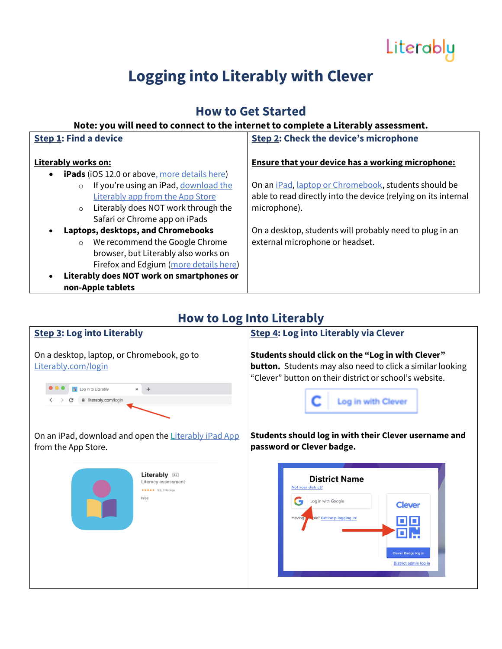

## **Logging into Literably with Clever**

### **How to Get Started**

#### **Note: you will need to connect to the internet to complete a Literably assessment.**

| <b>Step 1: Find a device</b>                                     | <b>Step 2: Check the device's microphone</b>                         |
|------------------------------------------------------------------|----------------------------------------------------------------------|
| Literably works on:                                              | <b>Ensure that your device has a working microphone:</b>             |
| <b>iPads</b> (iOS 12.0 or above, more details here)<br>$\bullet$ |                                                                      |
| If you're using an iPad, download the<br>$\circ$                 | On an <i>iPad</i> , <i>laptop or Chromebook</i> , students should be |
| Literably app from the App Store                                 | able to read directly into the device (relying on its internal       |
| Literably does NOT work through the<br>$\circ$                   | microphone).                                                         |
| Safari or Chrome app on iPads                                    |                                                                      |
| Laptops, desktops, and Chromebooks<br>$\bullet$                  | On a desktop, students will probably need to plug in an              |
| We recommend the Google Chrome<br>$\circ$                        | external microphone or headset.                                      |
| browser, but Literably also works on                             |                                                                      |
| Firefox and Edgium (more details here)                           |                                                                      |
| Literably does NOT work on smartphones or<br>$\bullet$           |                                                                      |
| non-Apple tablets                                                |                                                                      |

#### **How to Log Into Literably**